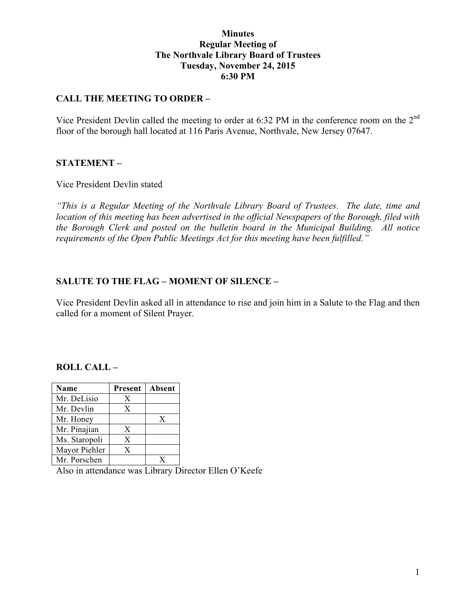### **Minutes Regular Meeting of The Northvale Library Board of Trustees Tuesday, November 24, 2015 6:30 PM**

## **CALL THE MEETING TO ORDER –**

Vice President Devlin called the meeting to order at 6:32 PM in the conference room on the 2<sup>nd</sup> floor of the borough hall located at 116 Paris Avenue, Northvale, New Jersey 07647.

### **STATEMENT –**

Vice President Devlin stated

*"This is a Regular Meeting of the Northvale Library Board of Trustees. The date, time and location of this meeting has been advertised in the official Newspapers of the Borough, filed with the Borough Clerk and posted on the bulletin board in the Municipal Building. All notice requirements of the Open Public Meetings Act for this meeting have been fulfilled."* 

### **SALUTE TO THE FLAG – MOMENT OF SILENCE –**

Vice President Devlin asked all in attendance to rise and join him in a Salute to the Flag and then called for a moment of Silent Prayer.

### **ROLL CALL –**

| Name          | Present | Absent |
|---------------|---------|--------|
| Mr. DeLisio   | X       |        |
| Mr. Devlin    | X       |        |
| Mr. Honey     |         | X      |
| Mr. Pinajian  | X       |        |
| Ms. Staropoli | X       |        |
| Mayor Piehler | X       |        |
| Mr. Porschen  |         |        |

Also in attendance was Library Director Ellen O'Keefe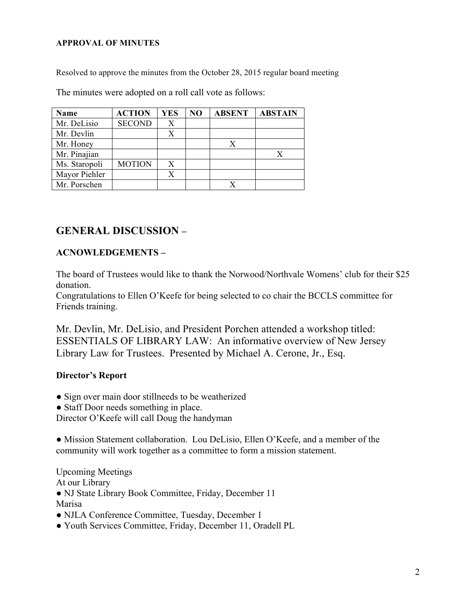#### **APPROVAL OF MINUTES**

Resolved to approve the minutes from the October 28, 2015 regular board meeting

The minutes were adopted on a roll call vote as follows:

| Name          | <b>ACTION</b> | <b>YES</b> | NO | <b>ABSENT</b> | <b>ABSTAIN</b> |
|---------------|---------------|------------|----|---------------|----------------|
| Mr. DeLisio   | <b>SECOND</b> | X          |    |               |                |
| Mr. Devlin    |               | X          |    |               |                |
| Mr. Honey     |               |            |    | X             |                |
| Mr. Pinajian  |               |            |    |               |                |
| Ms. Staropoli | <b>MOTION</b> | X          |    |               |                |
| Mayor Piehler |               |            |    |               |                |
| Mr. Porschen  |               |            |    |               |                |

# **GENERAL DISCUSSION –**

## **ACNOWLEDGEMENTS –**

The board of Trustees would like to thank the Norwood/Northvale Womens' club for their \$25 donation.

Congratulations to Ellen O'Keefe for being selected to co chair the BCCLS committee for Friends training.

Mr. Devlin, Mr. DeLisio, and President Porchen attended a workshop titled: ESSENTIALS OF LIBRARY LAW: An informative overview of New Jersey Library Law for Trustees. Presented by Michael A. Cerone, Jr., Esq.

### **Director's Report**

- Sign over main door stillneeds to be weatherized
- Staff Door needs something in place.

Director O'Keefe will call Doug the handyman

● Mission Statement collaboration. Lou DeLisio, Ellen O'Keefe, and a member of the community will work together as a committee to form a mission statement.

Upcoming Meetings At our Library ● NJ State Library Book Committee, Friday, December 11 Marisa

- NJLA Conference Committee, Tuesday, December 1
- Youth Services Committee, Friday, December 11, Oradell PL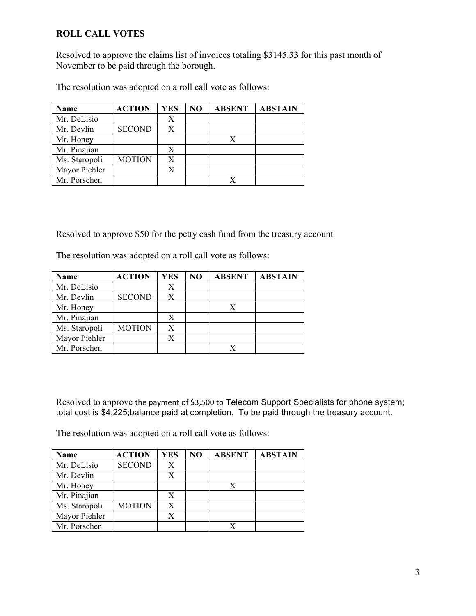# **ROLL CALL VOTES**

Resolved to approve the claims list of invoices totaling \$3145.33 for this past month of November to be paid through the borough.

The resolution was adopted on a roll call vote as follows:

| Name          | <b>ACTION</b> | <b>YES</b> | NO | <b>ABSENT</b> | <b>ABSTAIN</b> |
|---------------|---------------|------------|----|---------------|----------------|
| Mr. DeLisio   |               | Х          |    |               |                |
| Mr. Devlin    | <b>SECOND</b> |            |    |               |                |
| Mr. Honey     |               |            |    |               |                |
| Mr. Pinajian  |               | X          |    |               |                |
| Ms. Staropoli | <b>MOTION</b> | X          |    |               |                |
| Mayor Piehler |               |            |    |               |                |
| Mr. Porschen  |               |            |    |               |                |

Resolved to approve \$50 for the petty cash fund from the treasury account

The resolution was adopted on a roll call vote as follows:

| <b>Name</b>   | <b>ACTION</b> | <b>YES</b> | NO | <b>ABSENT</b> | <b>ABSTAIN</b> |
|---------------|---------------|------------|----|---------------|----------------|
| Mr. DeLisio   |               | Х          |    |               |                |
| Mr. Devlin    | <b>SECOND</b> | X          |    |               |                |
| Mr. Honey     |               |            |    |               |                |
| Mr. Pinajian  |               | X          |    |               |                |
| Ms. Staropoli | <b>MOTION</b> | X          |    |               |                |
| Mayor Piehler |               |            |    |               |                |
| Mr. Porschen  |               |            |    |               |                |

Resolved to approve the payment of \$3,500 to Telecom Support Specialists for phone system; total cost is \$4,225;balance paid at completion. To be paid through the treasury account.

The resolution was adopted on a roll call vote as follows:

| <b>Name</b>   | <b>ACTION</b> | <b>YES</b> | NO | <b>ABSENT</b> | <b>ABSTAIN</b> |
|---------------|---------------|------------|----|---------------|----------------|
| Mr. DeLisio   | <b>SECOND</b> | X          |    |               |                |
| Mr. Devlin    |               | X          |    |               |                |
| Mr. Honey     |               |            |    | X             |                |
| Mr. Pinajian  |               |            |    |               |                |
| Ms. Staropoli | <b>MOTION</b> | X          |    |               |                |
| Mayor Piehler |               |            |    |               |                |
| Mr. Porschen  |               |            |    |               |                |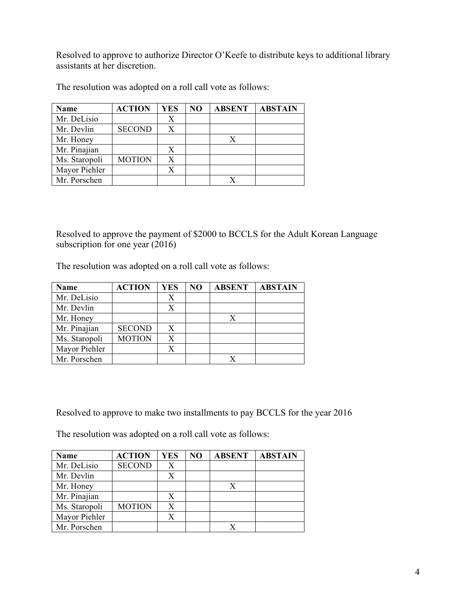Resolved to approve to authorize Director O'Keefe to distribute keys to additional library assistants at her discretion.

| <b>Name</b>   | <b>ACTION</b> | <b>YES</b> | NO | <b>ABSENT</b> | <b>ABSTAIN</b> |
|---------------|---------------|------------|----|---------------|----------------|
| Mr. DeLisio   |               | Х          |    |               |                |
| Mr. Devlin    | <b>SECOND</b> |            |    |               |                |
| Mr. Honey     |               |            |    | X             |                |
| Mr. Pinajian  |               |            |    |               |                |
| Ms. Staropoli | <b>MOTION</b> | X          |    |               |                |
| Mayor Piehler |               |            |    |               |                |
| Mr. Porschen  |               |            |    |               |                |

The resolution was adopted on a roll call vote as follows:

Resolved to approve the payment of \$2000 to BCCLS for the Adult Korean Language subscription for one year (2016)

The resolution was adopted on a roll call vote as follows:

| <b>Name</b>   | <b>ACTION</b> | YES | N <sub>O</sub> | <b>ABSENT</b> | <b>ABSTAIN</b> |
|---------------|---------------|-----|----------------|---------------|----------------|
| Mr. DeLisio   |               | Х   |                |               |                |
| Mr. Devlin    |               |     |                |               |                |
| Mr. Honey     |               |     |                |               |                |
| Mr. Pinajian  | <b>SECOND</b> | X   |                |               |                |
| Ms. Staropoli | <b>MOTION</b> | X   |                |               |                |
| Mayor Piehler |               |     |                |               |                |
| Mr. Porschen  |               |     |                |               |                |

Resolved to approve to make two installments to pay BCCLS for the year 2016

The resolution was adopted on a roll call vote as follows:

| Name          | <b>ACTION</b> | <b>YES</b> | NO | <b>ABSENT</b> | <b>ABSTAIN</b> |
|---------------|---------------|------------|----|---------------|----------------|
| Mr. DeLisio   | <b>SECOND</b> | X          |    |               |                |
| Mr. Devlin    |               | X          |    |               |                |
| Mr. Honey     |               |            |    | X             |                |
| Mr. Pinajian  |               | X          |    |               |                |
| Ms. Staropoli | <b>MOTION</b> | X          |    |               |                |
| Mayor Piehler |               | X          |    |               |                |
| Mr. Porschen  |               |            |    |               |                |